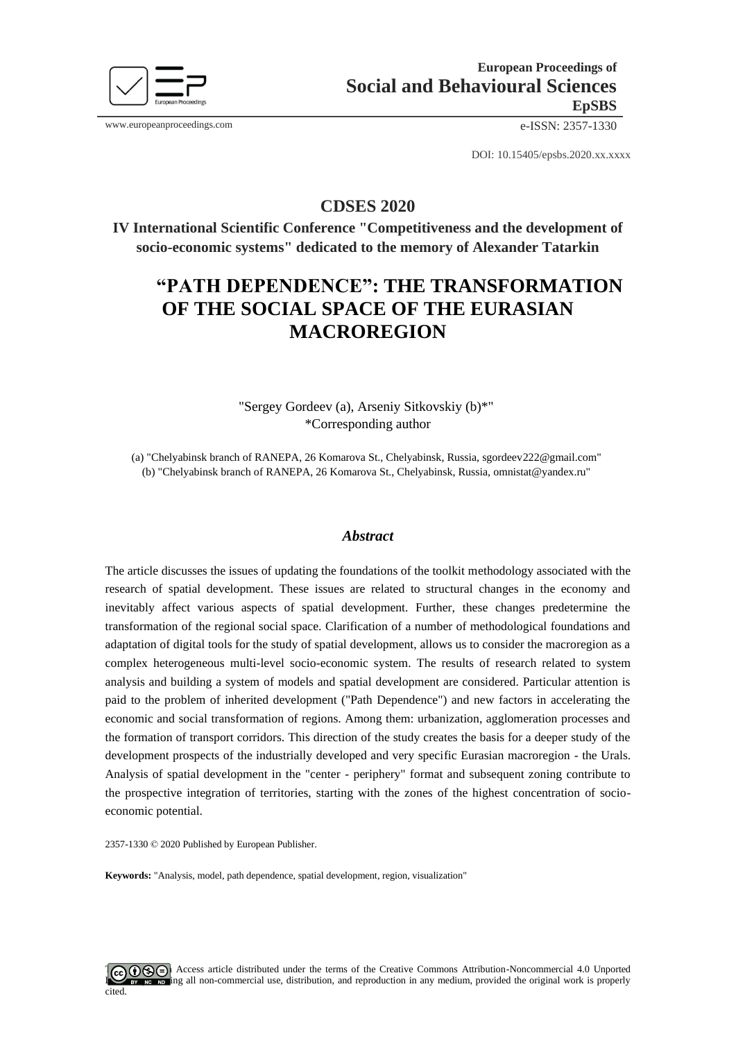

www.europeanproceedings.com e-ISSN: 2357-1330

DOI: 10.15405/epsbs.2020.xx.xxxx

**CDSES 2020**

**IV International Scientific Conference "Competitiveness and the development of socio-economic systems" dedicated to the memory of Alexander Tatarkin**

# **"PATH DEPENDENCE": THE TRANSFORMATION OF THE SOCIAL SPACE OF THE EURASIAN MACROREGION**

"Sergey Gordeev (a), Arseniy Sitkovskiy (b)\*" \*Corresponding author

(a) "Chelyabinsk branch of RANEPA, 26 Komarova St., Chelyabinsk, Russia, sgordeev222@gmail.com" (b) "Chelyabinsk branch of RANEPA, 26 Komarova St., Chelyabinsk, Russia, omnistat@yandex.ru"

## *Abstract*

The article discusses the issues of updating the foundations of the toolkit methodology associated with the research of spatial development. These issues are related to structural changes in the economy and inevitably affect various aspects of spatial development. Further, these changes predetermine the transformation of the regional social space. Clarification of a number of methodological foundations and adaptation of digital tools for the study of spatial development, allows us to consider the macroregion as a complex heterogeneous multi-level socio-economic system. The results of research related to system analysis and building a system of models and spatial development are considered. Particular attention is paid to the problem of inherited development ("Path Dependence") and new factors in accelerating the economic and social transformation of regions. Among them: urbanization, agglomeration processes and the formation of transport corridors. This direction of the study creates the basis for a deeper study of the development prospects of the industrially developed and very specific Eurasian macroregion - the Urals. Analysis of spatial development in the "center - periphery" format and subsequent zoning contribute to the prospective integration of territories, starting with the zones of the highest concentration of socioeconomic potential.

2357-1330 © 2020 Published by European Publisher.

**Keywords:** "Analysis, model, path dependence, spatial development, region, visualization"

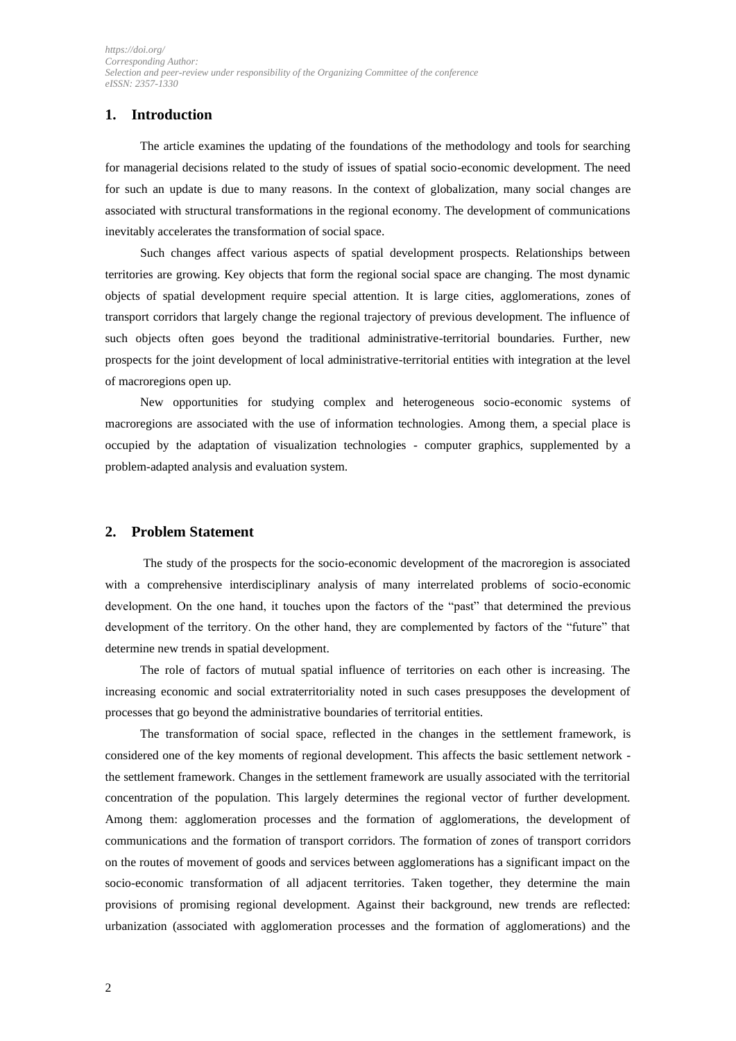# **1. Introduction**

The article examines the updating of the foundations of the methodology and tools for searching for managerial decisions related to the study of issues of spatial socio-economic development. The need for such an update is due to many reasons. In the context of globalization, many social changes are associated with structural transformations in the regional economy. The development of communications inevitably accelerates the transformation of social space.

Such changes affect various aspects of spatial development prospects. Relationships between territories are growing. Key objects that form the regional social space are changing. The most dynamic objects of spatial development require special attention. It is large cities, agglomerations, zones of transport corridors that largely change the regional trajectory of previous development. The influence of such objects often goes beyond the traditional administrative-territorial boundaries. Further, new prospects for the joint development of local administrative-territorial entities with integration at the level of macroregions open up.

New opportunities for studying complex and heterogeneous socio-economic systems of macroregions are associated with the use of information technologies. Among them, a special place is occupied by the adaptation of visualization technologies - computer graphics, supplemented by a problem-adapted analysis and evaluation system.

### **2. Problem Statement**

The study of the prospects for the socio-economic development of the macroregion is associated with a comprehensive interdisciplinary analysis of many interrelated problems of socio-economic development. On the one hand, it touches upon the factors of the "past" that determined the previous development of the territory. On the other hand, they are complemented by factors of the "future" that determine new trends in spatial development.

The role of factors of mutual spatial influence of territories on each other is increasing. The increasing economic and social extraterritoriality noted in such cases presupposes the development of processes that go beyond the administrative boundaries of territorial entities.

The transformation of social space, reflected in the changes in the settlement framework, is considered one of the key moments of regional development. This affects the basic settlement network the settlement framework. Changes in the settlement framework are usually associated with the territorial concentration of the population. This largely determines the regional vector of further development. Among them: agglomeration processes and the formation of agglomerations, the development of communications and the formation of transport corridors. The formation of zones of transport corridors on the routes of movement of goods and services between agglomerations has a significant impact on the socio-economic transformation of all adjacent territories. Taken together, they determine the main provisions of promising regional development. Against their background, new trends are reflected: urbanization (associated with agglomeration processes and the formation of agglomerations) and the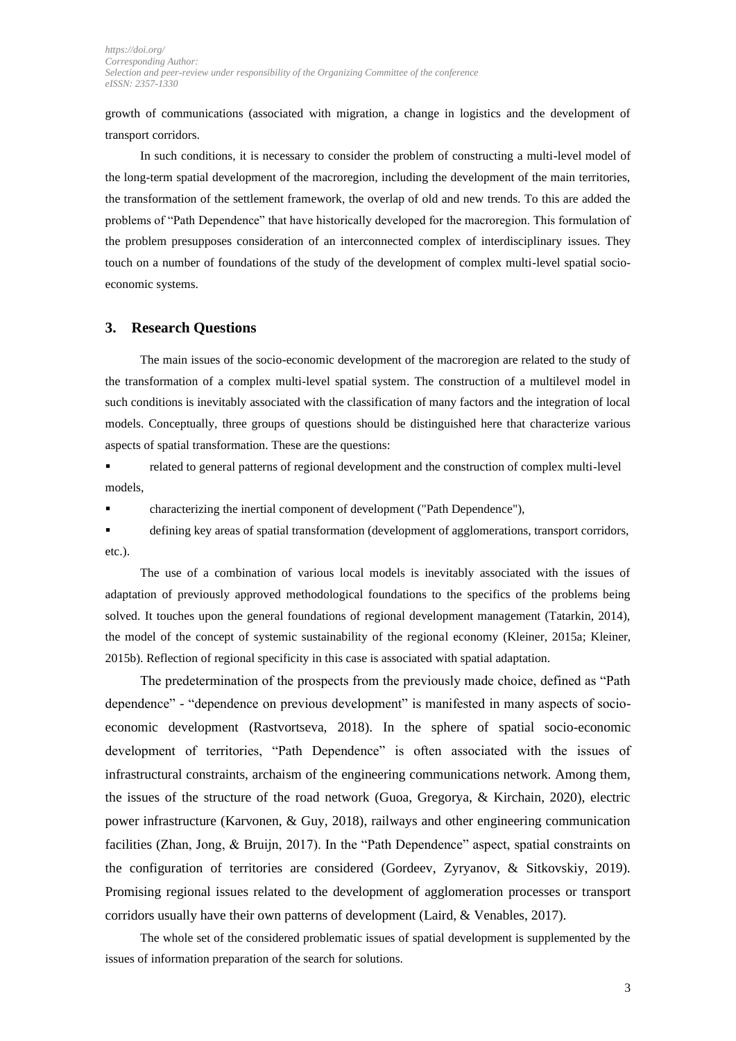*[https://doi.org/](http://dx.doi.org/) Corresponding Author: Selection and peer-review under responsibility of the Organizing Committee of the conference eISSN: 2357-1330*

growth of communications (associated with migration, a change in logistics and the development of transport corridors.

In such conditions, it is necessary to consider the problem of constructing a multi-level model of the long-term spatial development of the macroregion, including the development of the main territories, the transformation of the settlement framework, the overlap of old and new trends. To this are added the problems of "Path Dependence" that have historically developed for the macroregion. This formulation of the problem presupposes consideration of an interconnected complex of interdisciplinary issues. They touch on a number of foundations of the study of the development of complex multi-level spatial socioeconomic systems.

#### **3. Research Questions**

The main issues of the socio-economic development of the macroregion are related to the study of the transformation of a complex multi-level spatial system. The construction of a multilevel model in such conditions is inevitably associated with the classification of many factors and the integration of local models. Conceptually, three groups of questions should be distinguished here that characterize various aspects of spatial transformation. These are the questions:

**•** related to general patterns of regional development and the construction of complex multi-level models,

▪ characterizing the inertial component of development ("Path Dependence"),

▪ defining key areas of spatial transformation (development of agglomerations, transport corridors, etc.).

The use of a combination of various local models is inevitably associated with the issues of adaptation of previously approved methodological foundations to the specifics of the problems being solved. It touches upon the general foundations of regional development management (Tatarkin, 2014), the model of the concept of systemic sustainability of the regional economy (Kleiner, 2015a; Kleiner, 2015b). Reflection of regional specificity in this case is associated with spatial adaptation.

The predetermination of the prospects from the previously made choice, defined as "Path dependence" - "dependence on previous development" is manifested in many aspects of socioeconomic development (Rastvortseva, 2018). In the sphere of spatial socio-economic development of territories, "Path Dependence" is often associated with the issues of infrastructural constraints, archaism of the engineering communications network. Among them, the issues of the structure of the road network (Guoa, Gregorya, & Kirchain, 2020), electric power infrastructure (Karvonen, & Guy, 2018), railways and other engineering communication facilities (Zhan, Jong, & Bruijn, 2017). In the "Path Dependence" aspect, spatial constraints on the configuration of territories are considered (Gordeev, Zyryanov, & Sitkovskiy, 2019). Promising regional issues related to the development of agglomeration processes or transport corridors usually have their own patterns of development (Laird, & Venables, 2017).

The whole set of the considered problematic issues of spatial development is supplemented by the issues of information preparation of the search for solutions.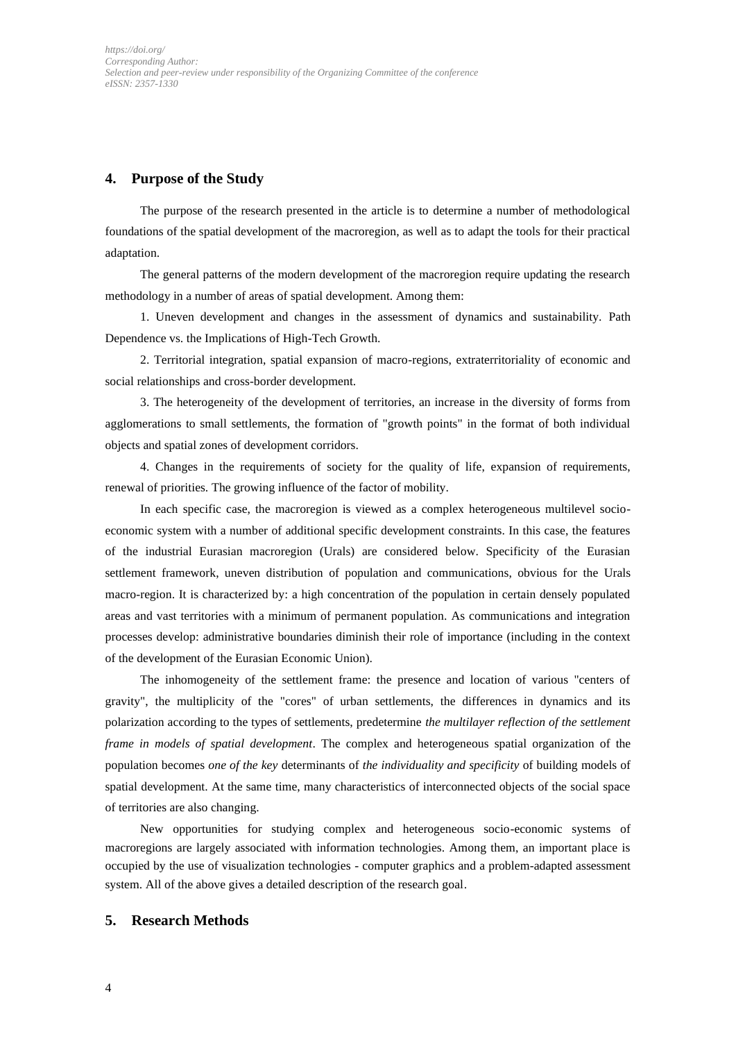# **4. Purpose of the Study**

The purpose of the research presented in the article is to determine a number of methodological foundations of the spatial development of the macroregion, as well as to adapt the tools for their practical adaptation.

The general patterns of the modern development of the macroregion require updating the research methodology in a number of areas of spatial development. Among them:

1. Uneven development and changes in the assessment of dynamics and sustainability. Path Dependence vs. the Implications of High-Tech Growth.

2. Territorial integration, spatial expansion of macro-regions, extraterritoriality of economic and social relationships and cross-border development.

3. The heterogeneity of the development of territories, an increase in the diversity of forms from agglomerations to small settlements, the formation of "growth points" in the format of both individual objects and spatial zones of development corridors.

4. Changes in the requirements of society for the quality of life, expansion of requirements, renewal of priorities. The growing influence of the factor of mobility.

In each specific case, the macroregion is viewed as a complex heterogeneous multilevel socioeconomic system with a number of additional specific development constraints. In this case, the features of the industrial Eurasian macroregion (Urals) are considered below. Specificity of the Eurasian settlement framework, uneven distribution of population and communications, obvious for the Urals macro-region. It is characterized by: a high concentration of the population in certain densely populated areas and vast territories with a minimum of permanent population. As communications and integration processes develop: administrative boundaries diminish their role of importance (including in the context of the development of the Eurasian Economic Union).

The inhomogeneity of the settlement frame: the presence and location of various "centers of gravity", the multiplicity of the "cores" of urban settlements, the differences in dynamics and its polarization according to the types of settlements, predetermine *the multilayer reflection of the settlement frame in models of spatial development*. The complex and heterogeneous spatial organization of the population becomes *one of the key* determinants of *the individuality and specificity* of building models of spatial development. At the same time, many characteristics of interconnected objects of the social space of territories are also changing.

New opportunities for studying complex and heterogeneous socio-economic systems of macroregions are largely associated with information technologies. Among them, an important place is occupied by the use of visualization technologies - computer graphics and a problem-adapted assessment system. All of the above gives a detailed description of the research goal.

### **5. Research Methods**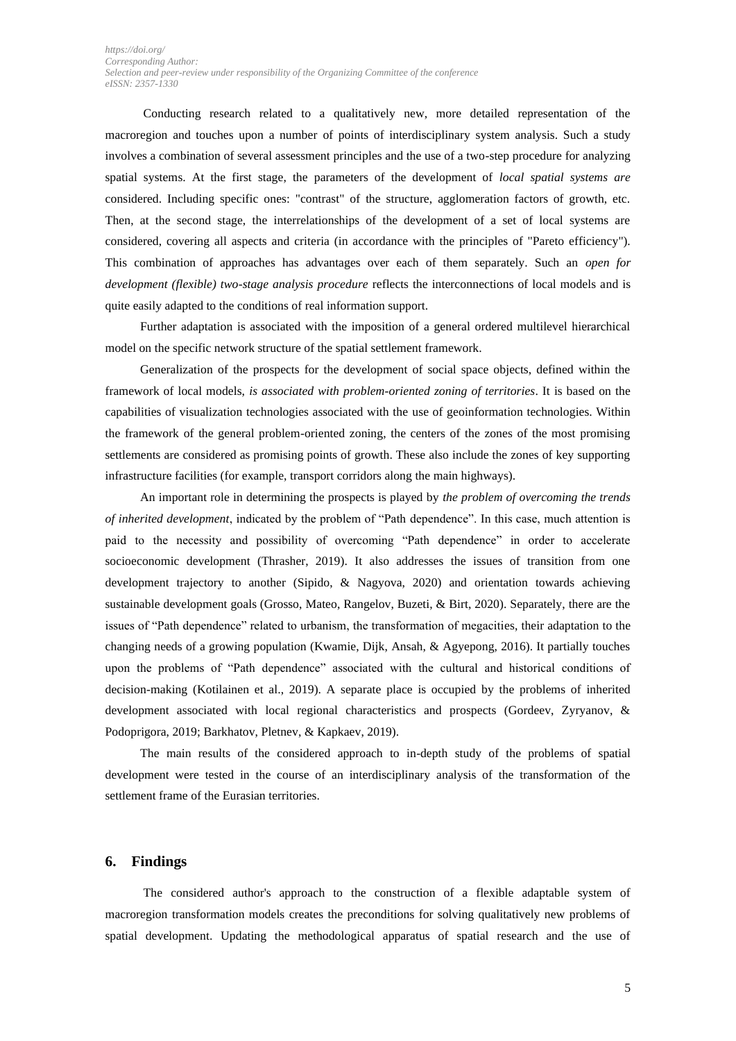Conducting research related to a qualitatively new, more detailed representation of the macroregion and touches upon a number of points of interdisciplinary system analysis. Such a study involves a combination of several assessment principles and the use of a two-step procedure for analyzing spatial systems. At the first stage, the parameters of the development of *local spatial systems are* considered. Including specific ones: "contrast" of the structure, agglomeration factors of growth, etc. Then, at the second stage, the interrelationships of the development of a set of local systems are considered, covering all aspects and criteria (in accordance with the principles of "Pareto efficiency"). This combination of approaches has advantages over each of them separately. Such an *open for development (flexible) two-stage analysis procedure* reflects the interconnections of local models and is quite easily adapted to the conditions of real information support.

Further adaptation is associated with the imposition of a general ordered multilevel hierarchical model on the specific network structure of the spatial settlement framework.

Generalization of the prospects for the development of social space objects, defined within the framework of local models, *is associated with problem-oriented zoning of territories*. It is based on the capabilities of visualization technologies associated with the use of geoinformation technologies. Within the framework of the general problem-oriented zoning, the centers of the zones of the most promising settlements are considered as promising points of growth. These also include the zones of key supporting infrastructure facilities (for example, transport corridors along the main highways).

An important role in determining the prospects is played by *the problem of overcoming the trends of inherited development*, indicated by the problem of "Path dependence". In this case, much attention is paid to the necessity and possibility of overcoming "Path dependence" in order to accelerate socioeconomic development (Thrasher, 2019). It also addresses the issues of transition from one development trajectory to another (Sipido, & Nagyova, 2020) and orientation towards achieving sustainable development goals (Grosso, Mateo, Rangelov, Buzeti, & Birt, 2020). Separately, there are the issues of "Path dependence" related to urbanism, the transformation of megacities, their adaptation to the changing needs of a growing population (Kwamie, Dijk, Ansah, & Agyepong, 2016). It partially touches upon the problems of "Path dependence" associated with the cultural and historical conditions of decision-making (Kotilainen et al., 2019). A separate place is occupied by the problems of inherited development associated with local regional characteristics and prospects (Gordeev, Zyryanov, & Podoprigora, 2019; Barkhatov, Pletnev, & Kapkaev, 2019).

The main results of the considered approach to in-depth study of the problems of spatial development were tested in the course of an interdisciplinary analysis of the transformation of the settlement frame of the Eurasian territories.

#### **6. Findings**

The considered author's approach to the construction of a flexible adaptable system of macroregion transformation models creates the preconditions for solving qualitatively new problems of spatial development. Updating the methodological apparatus of spatial research and the use of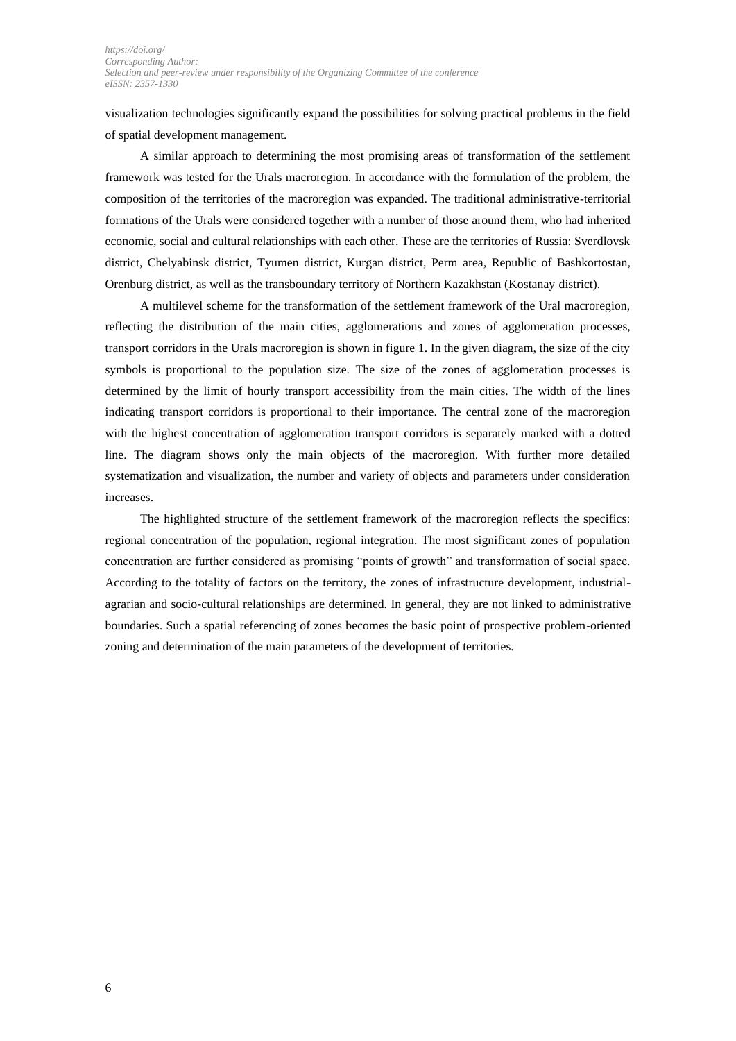visualization technologies significantly expand the possibilities for solving practical problems in the field of spatial development management.

A similar approach to determining the most promising areas of transformation of the settlement framework was tested for the Urals macroregion. In accordance with the formulation of the problem, the composition of the territories of the macroregion was expanded. The traditional administrative-territorial formations of the Urals were considered together with a number of those around them, who had inherited economic, social and cultural relationships with each other. These are the territories of Russia: Sverdlovsk district, Chelyabinsk district, Tyumen district, Kurgan district, Perm area, Republic of Bashkortostan, Orenburg district, as well as the transboundary territory of Northern Kazakhstan (Kostanay district).

A multilevel scheme for the transformation of the settlement framework of the Ural macroregion, reflecting the distribution of the main cities, agglomerations and zones of agglomeration processes, transport corridors in the Urals macroregion is shown in figure 1. In the given diagram, the size of the city symbols is proportional to the population size. The size of the zones of agglomeration processes is determined by the limit of hourly transport accessibility from the main cities. The width of the lines indicating transport corridors is proportional to their importance. The central zone of the macroregion with the highest concentration of agglomeration transport corridors is separately marked with a dotted line. The diagram shows only the main objects of the macroregion. With further more detailed systematization and visualization, the number and variety of objects and parameters under consideration increases.

The highlighted structure of the settlement framework of the macroregion reflects the specifics: regional concentration of the population, regional integration. The most significant zones of population concentration are further considered as promising "points of growth" and transformation of social space. According to the totality of factors on the territory, the zones of infrastructure development, industrialagrarian and socio-cultural relationships are determined. In general, they are not linked to administrative boundaries. Such a spatial referencing of zones becomes the basic point of prospective problem-oriented zoning and determination of the main parameters of the development of territories.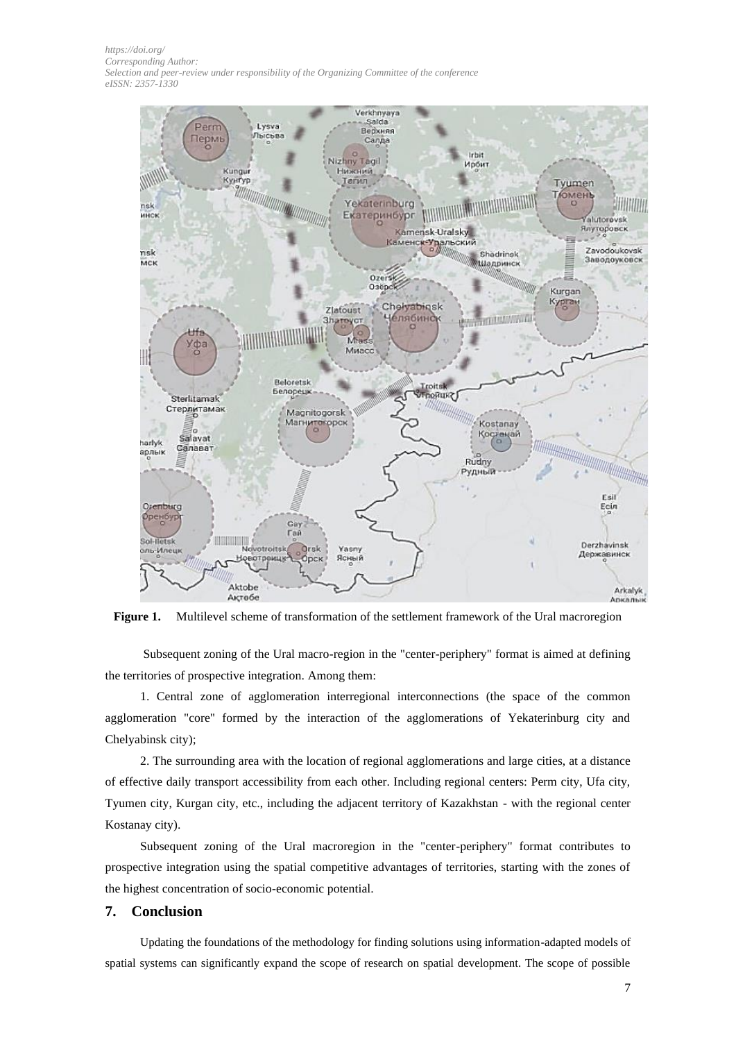*[https://doi.org/](http://dx.doi.org/) Corresponding Author: Selection and peer-review under responsibility of the Organizing Committee of the conference eISSN: 2357-1330*



**Figure 1.** Multilevel scheme of transformation of the settlement framework of the Ural macroregion

Subsequent zoning of the Ural macro-region in the "center-periphery" format is aimed at defining the territories of prospective integration. Among them:

1. Central zone of agglomeration interregional interconnections (the space of the common agglomeration "core" formed by the interaction of the agglomerations of Yekaterinburg city and Chelyabinsk city);

2. The surrounding area with the location of regional agglomerations and large cities, at a distance of effective daily transport accessibility from each other. Including regional centers: Perm city, Ufa city, Tyumen city, Kurgan city, etc., including the adjacent territory of Kazakhstan - with the regional center Kostanay city).

Subsequent zoning of the Ural macroregion in the "center-periphery" format contributes to prospective integration using the spatial competitive advantages of territories, starting with the zones of the highest concentration of socio-economic potential.

#### **7. Conclusion**

Updating the foundations of the methodology for finding solutions using information-adapted models of spatial systems can significantly expand the scope of research on spatial development. The scope of possible

7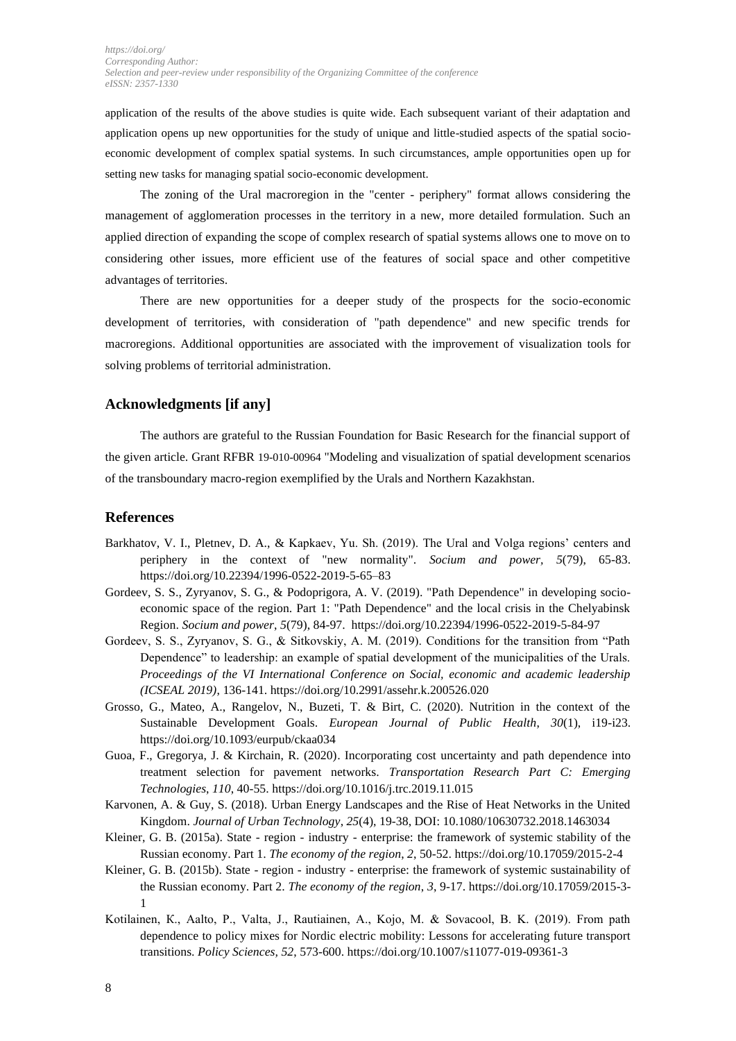application of the results of the above studies is quite wide. Each subsequent variant of their adaptation and application opens up new opportunities for the study of unique and little-studied aspects of the spatial socioeconomic development of complex spatial systems. In such circumstances, ample opportunities open up for setting new tasks for managing spatial socio-economic development.

The zoning of the Ural macroregion in the "center - periphery" format allows considering the management of agglomeration processes in the territory in a new, more detailed formulation. Such an applied direction of expanding the scope of complex research of spatial systems allows one to move on to considering other issues, more efficient use of the features of social space and other competitive advantages of territories.

There are new opportunities for a deeper study of the prospects for the socio-economic development of territories, with consideration of "path dependence" and new specific trends for macroregions. Additional opportunities are associated with the improvement of visualization tools for solving problems of territorial administration.

## **Acknowledgments [if any]**

The authors are grateful to the Russian Foundation for Basic Research for the financial support of the given article. Grant RFBR 19-010-00964 "Modeling and visualization of spatial development scenarios of the transboundary macro-region exemplified by the Urals and Northern Kazakhstan.

## **References**

- Barkhatov, V. I., Pletnev, D. A., & Kapkaev, Yu. Sh. (2019). The Ural and Volga regions' centers and periphery in the context of "new normality". *Socium and power, 5*(79), 65-83. <https://doi.org/10.22394/1996-0522-2019-5-65–83>
- Gordeev, S. S., Zyryanov, S. G., & Podoprigora, A. V. (2019). "Path Dependence" in developing socioeconomic space of the region. Part 1: "Path Dependence" and the local crisis in the Chelyabinsk Region. *Socium and power*, *5*(79), 84-97. <https://doi.org/10.22394/1996-0522-2019-5-84-97>
- Gordeev, S. S., Zyryanov, S. G., & Sitkovskiy, A. M. (2019). Conditions for the transition from "Path Dependence" to leadership: an example of spatial development of the municipalities of the Urals. *Proceedings of the VI International Conference on Social, economic and academic leadership (ICSEAL 2019)*, 136-141. https://doi.org/10.2991/assehr.k.200526.020
- Grosso, G., Mateo, A., Rangelov, N., Buzeti, T. & Birt, C. (2020). Nutrition in the context of the Sustainable Development Goals. *European Journal of Public Health*, *30*(1), i19-i23. <https://doi.org/10.1093/eurpub/ckaa034>
- Guoa, F., Gregorya, J. & Kirchain, R. (2020). Incorporating cost uncertainty and path dependence into treatment selection for pavement networks. *Transportation Research Part C: Emerging Technologies*, *110*, 40-55.<https://doi.org/10.1016/j.trc.2019.11.015>
- Karvonen, A. & Guy, S. (2018). Urban Energy Landscapes and the Rise of Heat Networks in the United Kingdom. *Journal of Urban Technology*, *25*(4), 19-38, DOI: 10.1080/10630732.2018.1463034
- Kleiner, G. B. (2015a). State region industry enterprise: the framework of systemic stability of the Russian economy. Part 1. *The economy of the region*, *2*, 50-52. https://doi.org/10.17059/2015-2-4
- Kleiner, G. B. (2015b). State region industry enterprise: the framework of systemic sustainability of the Russian economy. Part 2. *The economy of the region*, *3*, 9-17. [https://doi.org/10.17059/2015-3-](https://doi.org/10.17059/2015-3-1) [1](https://doi.org/10.17059/2015-3-1)
- Kotilainen, К., Aalto, P., Valta, J., Rautiainen, A., Kojo, M. & Sovacool, B. K. (2019). From path dependence to policy mixes for Nordic electric mobility: Lessons for accelerating future transport transitions. *Policy Sciences, 52*, 573-600.<https://doi.org/10.1007/s11077-019-09361-3>